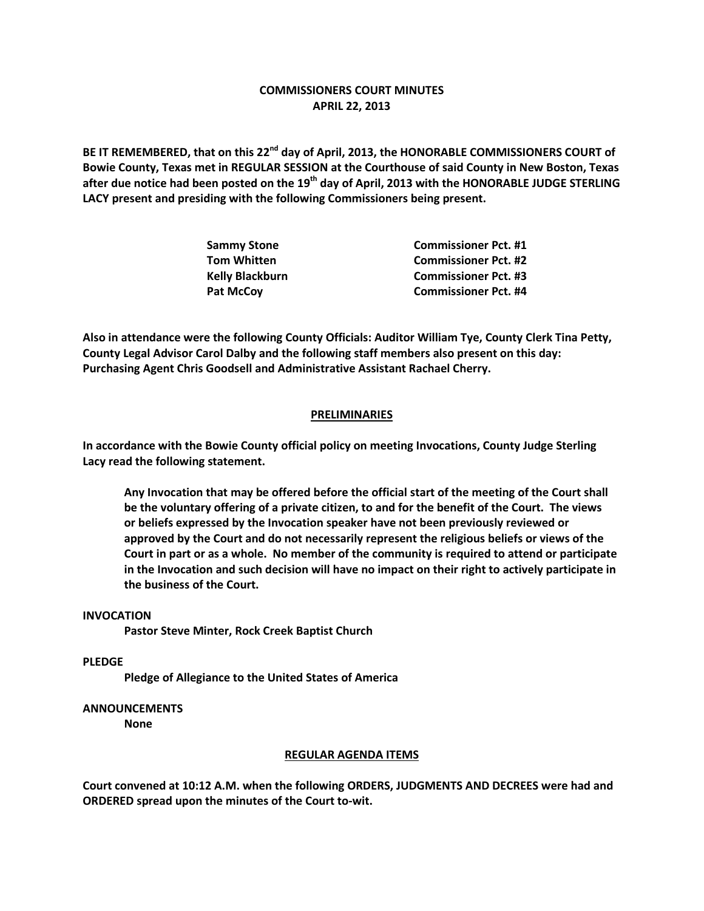# **COMMISSIONERS COURT MINUTES APRIL 22, 2013**

**BE IT REMEMBERED, that on this 22nd day of April, 2013, the HONORABLE COMMISSIONERS COURT of Bowie County, Texas met in REGULAR SESSION at the Courthouse of said County in New Boston, Texas after due notice had been posted on the 19th day of April, 2013 with the HONORABLE JUDGE STERLING LACY present and presiding with the following Commissioners being present.**

| Sammy Stone     | <b>Commissioner Pct. #1</b> |
|-----------------|-----------------------------|
| Tom Whitten     | <b>Commissioner Pct. #2</b> |
| Kelly Blackburn | <b>Commissioner Pct. #3</b> |
| Pat McCov       | <b>Commissioner Pct. #4</b> |

**Also in attendance were the following County Officials: Auditor William Tye, County Clerk Tina Petty, County Legal Advisor Carol Dalby and the following staff members also present on this day: Purchasing Agent Chris Goodsell and Administrative Assistant Rachael Cherry.**

### **PRELIMINARIES**

**In accordance with the Bowie County official policy on meeting Invocations, County Judge Sterling Lacy read the following statement.**

**Any Invocation that may be offered before the official start of the meeting of the Court shall be the voluntary offering of a private citizen, to and for the benefit of the Court. The views or beliefs expressed by the Invocation speaker have not been previously reviewed or approved by the Court and do not necessarily represent the religious beliefs or views of the Court in part or as a whole. No member of the community is required to attend or participate in the Invocation and such decision will have no impact on their right to actively participate in the business of the Court.**

### **INVOCATION**

**Pastor Steve Minter, Rock Creek Baptist Church**

### **PLEDGE**

**Pledge of Allegiance to the United States of America**

## **ANNOUNCEMENTS**

**None**

#### **REGULAR AGENDA ITEMS**

**Court convened at 10:12 A.M. when the following ORDERS, JUDGMENTS AND DECREES were had and ORDERED spread upon the minutes of the Court to-wit.**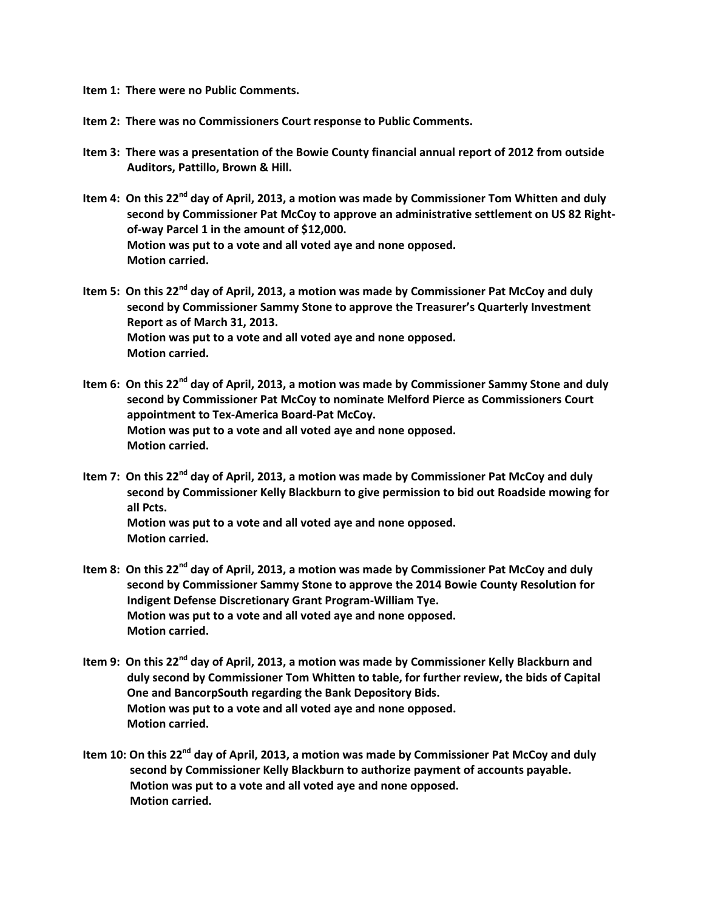- **Item 1: There were no Public Comments.**
- **Item 2: There was no Commissioners Court response to Public Comments.**
- **Item 3: There was a presentation of the Bowie County financial annual report of 2012 from outside Auditors, Pattillo, Brown & Hill.**
- **Item 4: On this 22nd day of April, 2013, a motion was made by Commissioner Tom Whitten and duly second by Commissioner Pat McCoy to approve an administrative settlement on US 82 Rightof-way Parcel 1 in the amount of \$12,000. Motion was put to a vote and all voted aye and none opposed. Motion carried.**
- **Item 5: On this 22nd day of April, 2013, a motion was made by Commissioner Pat McCoy and duly second by Commissioner Sammy Stone to approve the Treasurer's Quarterly Investment Report as of March 31, 2013. Motion was put to a vote and all voted aye and none opposed. Motion carried.**
- **Item 6: On this 22nd day of April, 2013, a motion was made by Commissioner Sammy Stone and duly second by Commissioner Pat McCoy to nominate Melford Pierce as Commissioners Court appointment to Tex-America Board-Pat McCoy. Motion was put to a vote and all voted aye and none opposed. Motion carried.**
- **Item 7: On this 22nd day of April, 2013, a motion was made by Commissioner Pat McCoy and duly second by Commissioner Kelly Blackburn to give permission to bid out Roadside mowing for all Pcts. Motion was put to a vote and all voted aye and none opposed. Motion carried.**
- **Item 8: On this 22nd day of April, 2013, a motion was made by Commissioner Pat McCoy and duly second by Commissioner Sammy Stone to approve the 2014 Bowie County Resolution for Indigent Defense Discretionary Grant Program-William Tye. Motion was put to a vote and all voted aye and none opposed. Motion carried.**
- **Item 9: On this 22nd day of April, 2013, a motion was made by Commissioner Kelly Blackburn and duly second by Commissioner Tom Whitten to table, for further review, the bids of Capital One and BancorpSouth regarding the Bank Depository Bids. Motion was put to a vote and all voted aye and none opposed. Motion carried.**
- **Item 10: On this 22nd day of April, 2013, a motion was made by Commissioner Pat McCoy and duly second by Commissioner Kelly Blackburn to authorize payment of accounts payable. Motion was put to a vote and all voted aye and none opposed. Motion carried.**